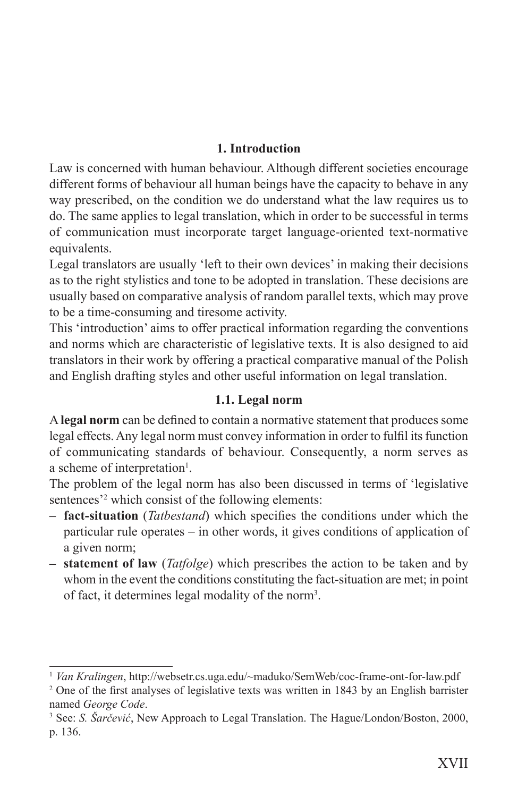#### **1. Introduction**

Law is concerned with human behaviour. Although different societies encourage different forms of behaviour all human beings have the capacity to behave in any way prescribed, on the condition we do understand what the law requires us to do. The same applies to legal translation, which in order to be successful in terms of communication must incorporate target language-oriented text-normative equivalents.

Legal translators are usually 'left to their own devices' in making their decisions as to the right stylistics and tone to be adopted in translation. These decisions are usually based on comparative analysis of random parallel texts, which may prove to be a time-consuming and tiresome activity.

This 'introduction' aims to offer practical information regarding the conventions and norms which are characteristic of legislative texts. It is also designed to aid translators in their work by offering a practical comparative manual of the Polish and English drafting styles and other useful information on legal translation.

#### **1.1. Legal norm**

A **legal norm** can be defined to contain a normative statement that produces some legal effects. Any legal norm must convey information in order to fulfil its function of communicating standards of behaviour. Consequently, a norm serves as a scheme of interpretation<sup>1</sup>.

The problem of the legal norm has also been discussed in terms of 'legislative sentences<sup>22</sup> which consist of the following elements:

- **– fact-situation** (*Tatbestand*) which specifies the conditions under which the particular rule operates – in other words, it gives conditions of application of a given norm;
- **– statement of law** (*Tatfolge*) which prescribes the action to be taken and by whom in the event the conditions constituting the fact-situation are met; in point of fact, it determines legal modality of the norm<sup>3</sup>.

<sup>&</sup>lt;sup>1</sup> *Van Kralingen*, http://websetr.cs.uga.edu/~maduko/SemWeb/coc-frame-ont-for-law.pdf

<sup>2</sup> One of the first analyses of legislative texts was written in 1843 by an English barrister named *George Code*.<br><sup>3</sup> See: *S. Šarčević*, New Approach to Legal Translation. The Hague/London/Boston, 2000,

p. 136.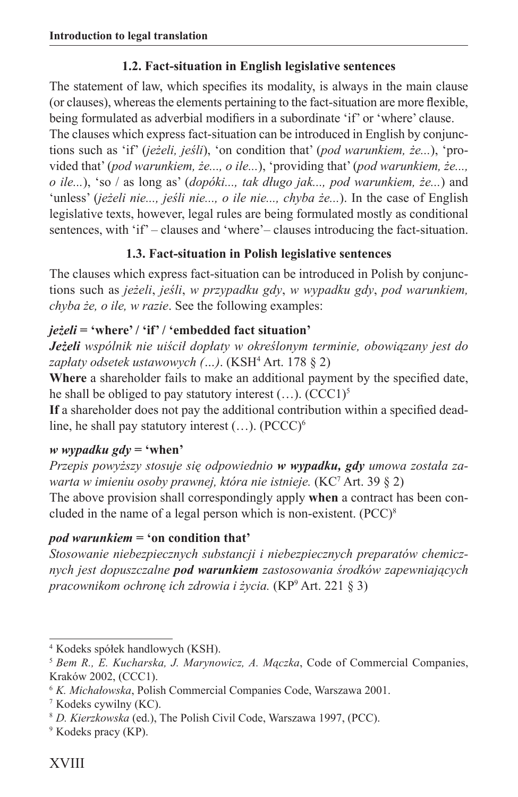# **1.2. Fact-situation in English legislative sentences**

The statement of law, which specifies its modality, is always in the main clause (or clauses), whereas the elements pertaining to the fact-situation are more flexible, being formulated as adverbial modifiers in a subordinate 'if' or 'where' clause.

The clauses which express fact-situation can be introduced in English by conjunctions such as 'if' (*jeżeli, jeśli*), 'on condition that' (*pod warunkiem, że...*), 'provided that' (*pod warunkiem, że..., o ile...*), 'providing that' (*pod warunkiem, że..., o ile...*), 'so / as long as' (*dopóki..., tak długo jak..., pod warunkiem, że...*) and 'unless' (*jeżeli nie..., jeśli nie..., o ile nie..., chyba że...*). In the case of English legislative texts, however, legal rules are being formulated mostly as conditional sentences, with 'if' – clauses and 'where'– clauses introducing the fact-situation.

# **1.3. Fact-situation in Polish legislative sentences**

The clauses which express fact-situation can be introduced in Polish by conjunctions such as *jeżeli*, *jeśli*, *w przypadku gdy*, *w wypadku gdy*, *pod warunkiem, chyba że, o ile, w razie*. See the following examples:

# *jeżeli* **= 'where' / 'if' / 'embedded fact situation'**

*Jeżeli wspólnik nie uiścił dopłaty w określonym terminie, obowiązany jest do zapłaty odsetek ustawowych (…)*. (KSH<sup>4</sup> Art. 178 § 2)

**Where** a shareholder fails to make an additional payment by the specified date, he shall be obliged to pay statutory interest  $(...)$ .  $(CCC1)^5$ 

**If** a shareholder does not pay the additional contribution within a specified deadline, he shall pay statutory interest  $(...)$ . (PCCC)<sup>6</sup>

#### *w wypadku gdy* **= 'when'**

*Przepis powyższy stosuje się odpowiednio w wypadku, gdy umowa została zawarta w imieniu osoby prawnej, która nie istnieje.* (KC7 Art. 39 § 2) The above provision shall correspondingly apply **when** a contract has been concluded in the name of a legal person which is non-existent. (PCC)8

#### *pod warunkiem* **= 'on condition that'**

*Stosowanie niebezpiecznych substancji i niebezpiecznych preparatów chemicznych jest dopuszczalne pod warunkiem zastosowania środków zapewniających pracownikom ochronę ich zdrowia i życia.* (KP<sup>9</sup> Art. 221 § 3)

<sup>4</sup> Kodeks spółek handlowych (KSH).

<sup>5</sup> *Bem R., E. Kucharska, J. Marynowicz, A. Mączka*, Code of Commercial Companies, Kraków 2002, (CCC1).

<sup>6</sup> *K. Michałowska*, Polish Commercial Companies Code, Warszawa 2001.

<sup>7</sup> Kodeks cywilny (KC).

<sup>8</sup> *D. Kierzkowska* (ed.), The Polish Civil Code, Warszawa 1997, (PCC).

<sup>9</sup> Kodeks pracy (KP).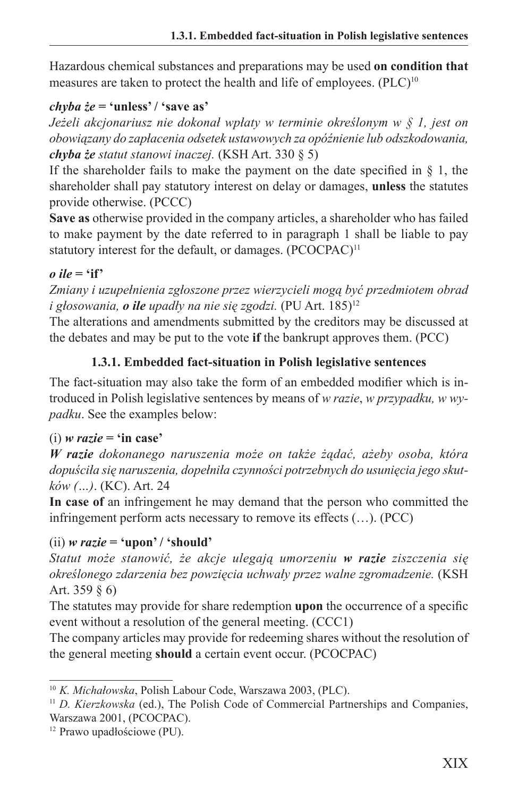Hazardous chemical substances and preparations may be used **on condition that** measures are taken to protect the health and life of employees. (PLC)<sup>10</sup>

# *chyba że* **= 'unless' / 'save as'**

*Jeżeli akcjonariusz nie dokonał wpłaty w terminie określonym w § 1, jest on obowiązany do zapłacenia odsetek ustawowych za opóźnienie lub odszkodowania, chyba że statut stanowi inaczej.* (KSH Art. 330 § 5)

If the shareholder fails to make the payment on the date specified in  $\S$  1, the shareholder shall pay statutory interest on delay or damages, **unless** the statutes provide otherwise. (PCCC)

**Save as** otherwise provided in the company articles, a shareholder who has failed to make payment by the date referred to in paragraph 1 shall be liable to pay statutory interest for the default, or damages. (PCOCPAC)<sup>11</sup>

#### $\rho$ *ile* = 'if'

*Zmiany i uzupełnienia zgłoszone przez wierzycieli mogą być przedmiotem obrad i głosowania, o ile upadły na nie się zgodzi.* (PU Art. 185)<sup>12</sup>

The alterations and amendments submitted by the creditors may be discussed at the debates and may be put to the vote **if** the bankrupt approves them. (PCC)

# **1.3.1. Embedded fact-situation in Polish legislative sentences**

The fact-situation may also take the form of an embedded modifier which is introduced in Polish legislative sentences by means of *w razie*, *w przypadku, w wypadku*. See the examples below:

#### $(i)$  *w* razie = 'in case'

*W razie dokonanego naruszenia może on także żądać, ażeby osoba, która dopuściła się naruszenia, dopełniła czynności potrzebnych do usunięcia jego skutków (…)*. (KC). Art. 24

**In case of** an infringement he may demand that the person who committed the infringement perform acts necessary to remove its effects (…). (PCC)

#### (ii)  $w$  *razie* = 'upon' / 'should'

*Statut może stanowić, że akcje ulegają umorzeniu w razie ziszczenia się określonego zdarzenia bez powzięcia uchwały przez walne zgromadzenie.* (KSH Art. 359 § 6)

The statutes may provide for share redemption **upon** the occurrence of a specific event without a resolution of the general meeting. (CCC1)

The company articles may provide for redeeming shares without the resolution of the general meeting **should** a certain event occur. (PCOCPAC)

<sup>10</sup> *K. Michałowska*, Polish Labour Code, Warszawa 2003, (PLC).

<sup>&</sup>lt;sup>11</sup> *D. Kierzkowska* (ed.), The Polish Code of Commercial Partnerships and Companies, Warszawa 2001, (PCOCPAC).

<sup>12</sup> Prawo upadłościowe (PU).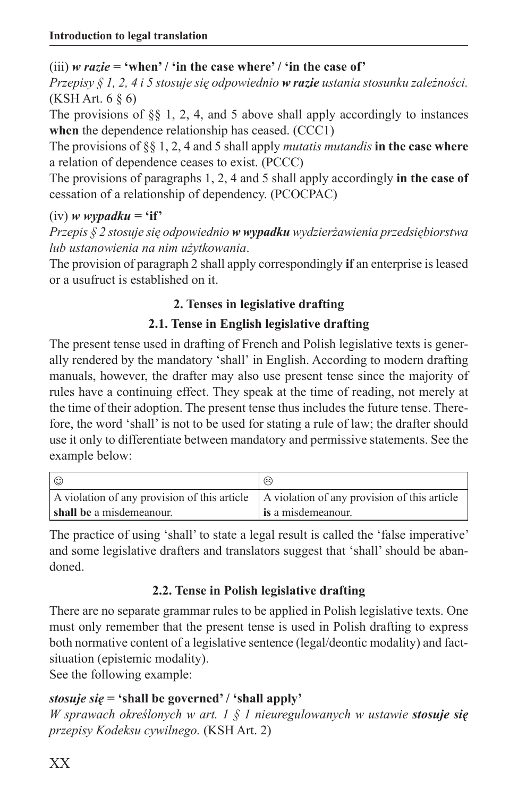### (iii) *w razie* = 'when' / 'in the case where' / 'in the case of'

*Przepisy § 1, 2, 4 i 5 stosuje się odpowiednio w razie ustania stosunku zależności.* (KSH Art. 6 § 6)

The provisions of  $\S$  1, 2, 4, and 5 above shall apply accordingly to instances **when** the dependence relationship has ceased. (CCC1)

The provisions of §§ 1, 2, 4 and 5 shall apply *mutatis mutandis* **in the case where** a relation of dependence ceases to exist. (PCCC)

The provisions of paragraphs 1, 2, 4 and 5 shall apply accordingly **in the case of** cessation of a relationship of dependency. (PCOCPAC)

#### $(iv)$  *w wypadku* = 'if'

*Przepis § 2 stosuje się odpowiednio w wypadku wydzierżawienia przedsiębiorstwa lub ustanowienia na nim użytkowania*.

The provision of paragraph 2 shall apply correspondingly **if** an enterprise is leased or a usufruct is established on it.

#### **2. Tenses in legislative drafting**

#### **2.1. Tense in English legislative drafting**

The present tense used in drafting of French and Polish legislative texts is generally rendered by the mandatory 'shall' in English. According to modern drafting manuals, however, the drafter may also use present tense since the majority of rules have a continuing effect. They speak at the time of reading, not merely at the time of their adoption. The present tense thus includes the future tense. Therefore, the word 'shall' is not to be used for stating a rule of law; the drafter should use it only to differentiate between mandatory and permissive statements. See the example below:

| l ©                                                                                         | ణ                  |
|---------------------------------------------------------------------------------------------|--------------------|
| A violation of any provision of this article   A violation of any provision of this article |                    |
| shall be a misdemeanour.                                                                    | is a misdemeanour. |

The practice of using 'shall' to state a legal result is called the 'false imperative' and some legislative drafters and translators suggest that 'shall' should be abandoned.

#### **2.2. Tense in Polish legislative drafting**

There are no separate grammar rules to be applied in Polish legislative texts. One must only remember that the present tense is used in Polish drafting to express both normative content of a legislative sentence (legal/deontic modality) and factsituation (epistemic modality).

See the following example:

# *stosuje się* **= 'shall be governed' / 'shall apply'**

*W sprawach określonych w art. 1 § 1 nieuregulowanych w ustawie stosuje się przepisy Kodeksu cywilnego.* (KSH Art. 2)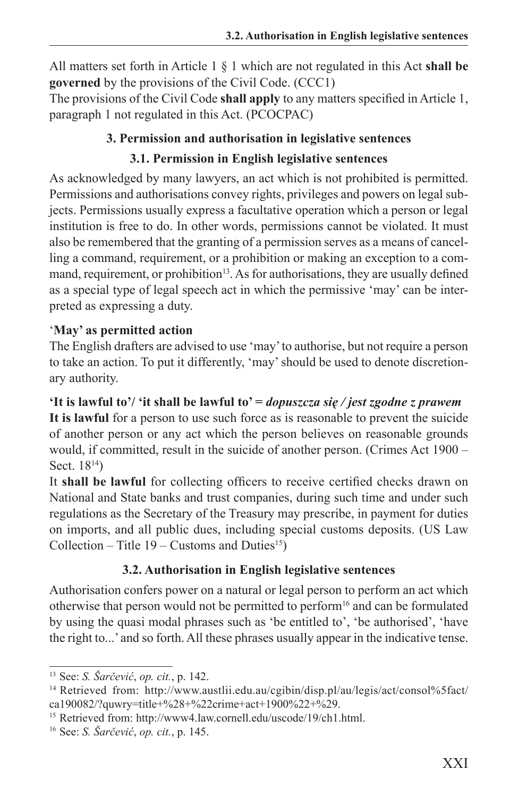All matters set forth in Article 1 § 1 which are not regulated in this Act **shall be governed** by the provisions of the Civil Code. (CCC1)

The provisions of the Civil Code **shall apply** to any matters specified in Article 1, paragraph 1 not regulated in this Act. (PCOCPAC)

#### **3. Permission and authorisation in legislative sentences**

#### **3.1. Permission in English legislative sentences**

As acknowledged by many lawyers, an act which is not prohibited is permitted. Permissions and authorisations convey rights, privileges and powers on legal subjects. Permissions usually express a facultative operation which a person or legal institution is free to do. In other words, permissions cannot be violated. It must also be remembered that the granting of a permission serves as a means of cancelling a command, requirement, or a prohibition or making an exception to a command, requirement, or prohibition<sup>13</sup>. As for authorisations, they are usually defined as a special type of legal speech act in which the permissive 'may' can be interpreted as expressing a duty.

#### '**May' as permitted action**

The English drafters are advised to use 'may' to authorise, but not require a person to take an action. To put it differently, 'may' should be used to denote discretionary authority.

# **'It is lawful to'/ 'it shall be lawful to' =** *dopuszcza się / jest zgodne z prawem*

**It is lawful** for a person to use such force as is reasonable to prevent the suicide of another person or any act which the person believes on reasonable grounds would, if committed, result in the suicide of another person. (Crimes Act 1900 – Sect. 1814)

It **shall be lawful** for collecting officers to receive certified checks drawn on National and State banks and trust companies, during such time and under such regulations as the Secretary of the Treasury may prescribe, in payment for duties on imports, and all public dues, including special customs deposits. (US Law Collection – Title  $19$  – Customs and Duties<sup>15</sup>)

#### **3.2. Authorisation in English legislative sentences**

Authorisation confers power on a natural or legal person to perform an act which otherwise that person would not be permitted to perform16 and can be formulated by using the quasi modal phrases such as 'be entitled to', 'be authorised', 'have the right to...' and so forth. All these phrases usually appear in the indicative tense.

<sup>13</sup> See: *S. Šarčević*, *op. cit.*, p. 142.

<sup>14</sup> Retrieved from: http://www.austlii.edu.au/cgibin/disp.pl/au/legis/act/consol%5fact/ ca190082/?quwry=title+%28+%22crime+act+1900%22+%29.

<sup>15</sup> Retrieved from: http://www4.law.cornell.edu/uscode/19/ch1.html.

<sup>16</sup> See: *S. Šarčević*, *op. cit.*, p. 145.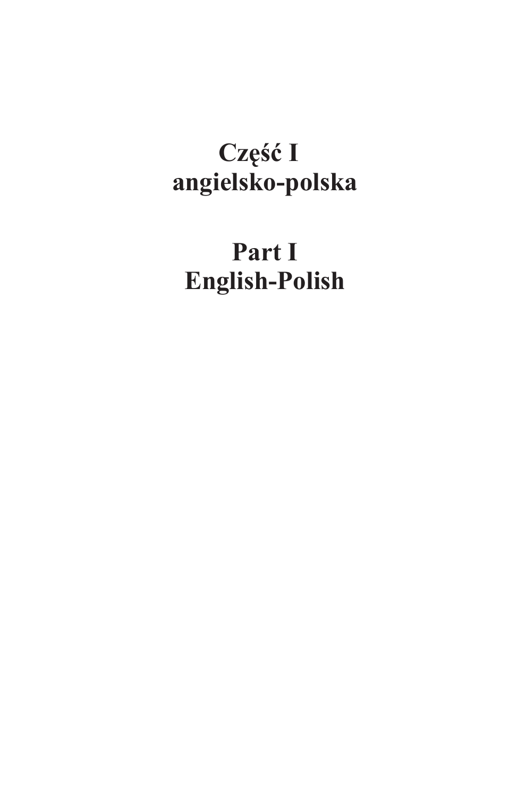# **Część I angielsko-polska**

# **Part I English-Polish**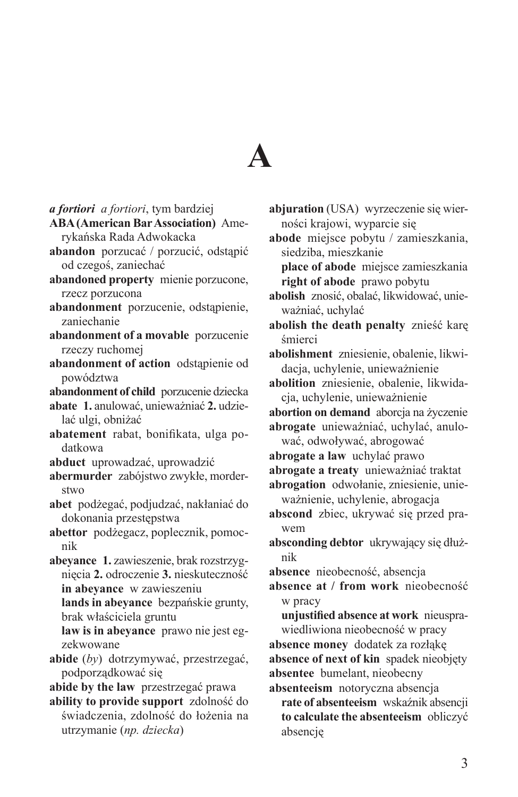# **A**

- *a fortiori a fortiori*, tym bardziej
- **ABA (American Bar Association)** Amerykańska Rada Adwokacka
- **abandon** porzucać / porzucić, odstąpić od czegoś, zaniechać
- **abandoned property** mienie porzucone, rzecz porzucona
- **abandonment** porzucenie, odstąpienie, zaniechanie

**abandonment of a movable** porzucenie rzeczy ruchomej

**abandonment of action** odstąpienie od powództwa

**abandonment of child** porzucenie dziecka

**abate 1.** anulować, unieważniać **2.** udzielać ulgi, obniżać

- **abatement** rabat, bonifikata, ulga podatkowa
- **abduct** uprowadzać, uprowadzić
- **abermurder** zabójstwo zwykłe, morderstwo
- **abet** podżegać, podjudzać, nakłaniać do dokonania przestępstwa

**abettor** podżegacz, poplecznik, pomocnik

**abeyance 1.** zawieszenie, brak rozstrzygnięcia **2.** odroczenie **3.** nieskuteczność **in abeyance** w zawieszeniu

**lands in abeyance** bezpańskie grunty, brak właściciela gruntu

**law is in abeyance** prawo nie jest egzekwowane

**abide** (*by*) dotrzymywać, przestrzegać, podporządkować się

**abide by the law** przestrzegać prawa

**ability to provide support** zdolność do świadczenia, zdolność do łożenia na utrzymanie (*np. dziecka*)

**abjuration** (USA) wyrzeczenie się wierności krajowi, wyparcie się

**abode** miejsce pobytu / zamieszkania, siedziba, mieszkanie

**place of abode** miejsce zamieszkania **right of abode** prawo pobytu

**abolish** znosić, obalać, likwidować, unieważniać, uchylać

**abolish the death penalty** znieść karę śmierci

**abolishment** zniesienie, obalenie, likwidacja, uchylenie, unieważnienie

**abolition** zniesienie, obalenie, likwidacja, uchylenie, unieważnienie

**abortion on demand** aborcja na życzenie

**abrogate** unieważniać, uchylać, anulować, odwoływać, abrogować

**abrogate a law** uchylać prawo

**abrogate a treaty** unieważniać traktat

**abrogation** odwołanie, zniesienie, unieważnienie, uchylenie, abrogacja

**abscond** zbiec, ukrywać się przed prawem

**absconding debtor** ukrywający się dłużnik

**absence** nieobecność, absencja

**absence at / from work** nieobecność w pracy

**unjustified absence at work** nieusprawiedliwiona nieobecność w pracy

**absence money** dodatek za rozłąkę **absence of next of kin** spadek nieobjęty **absentee** bumelant, nieobecny

**absenteeism** notoryczna absencja **rate of absenteeism** wskaźnik absencji **to calculate the absenteeism** obliczyć absencję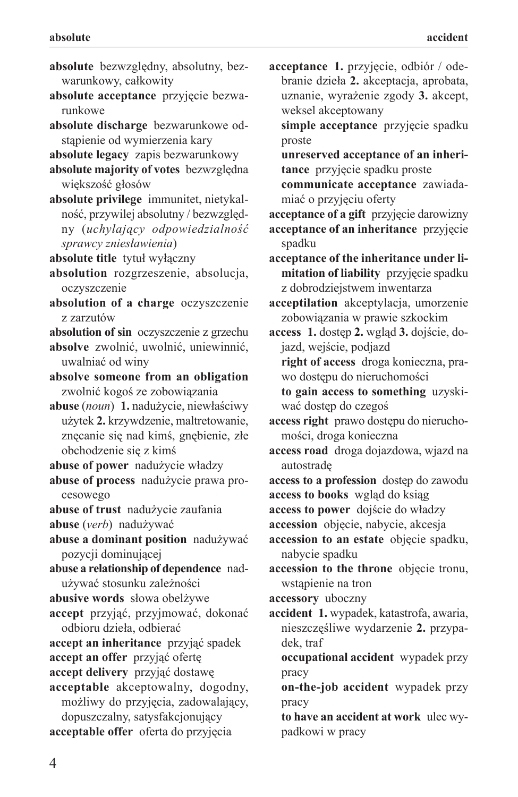- **absolute** bezwzględny, absolutny, bezwarunkowy, całkowity
- **absolute acceptance** przyjęcie bezwarunkowe
- **absolute discharge** bezwarunkowe odstąpienie od wymierzenia kary

**absolute legacy** zapis bezwarunkowy

**absolute majority of votes** bezwzględna większość głosów

- **absolute privilege** immunitet, nietykalność, przywilej absolutny / bezwzględny (*uchylający odpowiedzialność sprawcy zniesławienia*)
- **absolute title** tytuł wyłączny
- **absolution** rozgrzeszenie, absolucja, oczyszczenie
- **absolution of a charge** oczyszczenie z zarzutów

**absolution of sin** oczyszczenie z grzechu

- **absolve** zwolnić, uwolnić, uniewinnić, uwalniać od winy
- **absolve someone from an obligation** zwolnić kogoś ze zobowiązania

**abuse** (*noun*) **1.** nadużycie, niewłaściwy użytek **2.** krzywdzenie, maltretowanie, znęcanie się nad kimś, gnębienie, złe obchodzenie się z kimś

**abuse of power** nadużycie władzy

- **abuse of process** nadużycie prawa procesowego
- **abuse of trust** nadużycie zaufania

**abuse** (*verb*) nadużywać

**abuse a dominant position** nadużywać pozycji dominującej

**abuse a relationship of dependence** nadużywać stosunku zależności

**abusive words** słowa obelżywe

**accept** przyjąć, przyjmować, dokonać odbioru dzieła, odbierać

**accept an inheritance** przyjąć spadek

**accept an offer** przyjąć ofertę

**accept delivery** przyjąć dostawę

**acceptable** akceptowalny, dogodny, możliwy do przyjęcia, zadowalający,

dopuszczalny, satysfakcjonujący **acceptable offer** oferta do przyjęcia **acceptance 1.** przyjęcie, odbiór / odebranie dzieła **2.** akceptacja, aprobata, uznanie, wyrażenie zgody **3.** akcept, weksel akceptowany

**simple acceptance** przyjęcie spadku proste

**unreserved acceptance of an inheritance** przyjęcie spadku proste

**communicate acceptance** zawiadamiać o przyjęciu oferty

**acceptance of a gift** przyjęcie darowizny

**acceptance of an inheritance** przyjęcie spadku

**acceptance of the inheritance under limitation of liability** przyjęcie spadku z dobrodziejstwem inwentarza

**acceptilation** akceptylacja, umorzenie zobowiązania w prawie szkockim

**access 1.** dostęp **2.** wgląd **3.** dojście, dojazd, wejście, podjazd

**right of access** droga konieczna, prawo dostępu do nieruchomości

**to gain access to something** uzyskiwać dostęp do czegoś

**access right** prawo dostępu do nieruchomości, droga konieczna

**access road** droga dojazdowa, wjazd na autostradę

**access to a profession** dostęp do zawodu **access to books** wgląd do ksiąg

**access to power** dojście do władzy

**accession** objęcie, nabycie, akcesja

**accession to an estate** objęcie spadku, nabycie spadku

**accession to the throne** objęcie tronu, wstąpienie na tron

- **accessory** uboczny
- **accident 1.** wypadek, katastrofa, awaria, nieszczęśliwe wydarzenie **2.** przypadek, traf

**occupational accident** wypadek przy pracy

**on-the-job accident** wypadek przy pracy

**to have an accident at work** ulec wypadkowi w pracy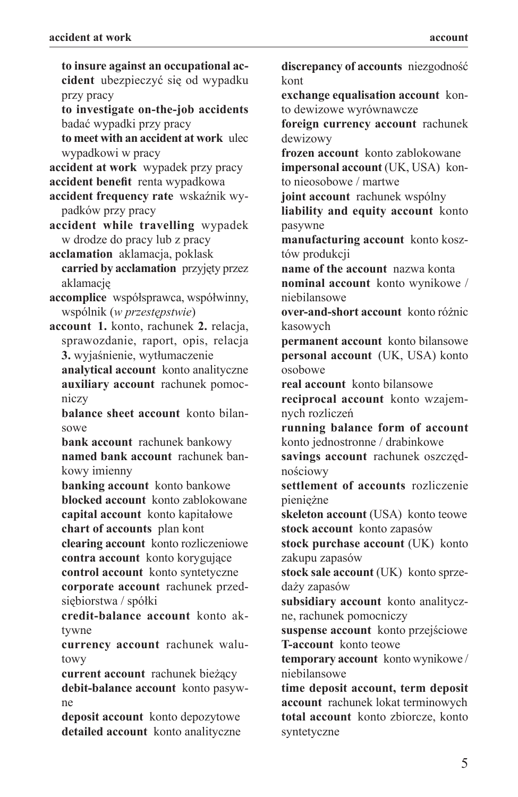**to insure against an occupational accident** ubezpieczyć się od wypadku przy pracy **to investigate on-the-job accidents** badać wypadki przy pracy **to meet with an accident at work** ulec wypadkowi w pracy **accident at work** wypadek przy pracy **accident benefit** renta wypadkowa **accident frequency rate** wskaźnik wypadków przy pracy **accident while travelling** wypadek w drodze do pracy lub z pracy **acclamation** aklamacja, poklask **carried by acclamation** przyjęty przez aklamację **accomplice** współsprawca, współwinny, wspólnik (*w przestępstwie*) **account 1.** konto, rachunek **2.** relacja, sprawozdanie, raport, opis, relacja **3.** wyjaśnienie, wytłumaczenie **analytical account** konto analityczne **auxiliary account** rachunek pomocniczy **balance sheet account** konto bilansowe **bank account** rachunek bankowy **named bank account** rachunek bankowy imienny **banking account** konto bankowe **blocked account** konto zablokowane **capital account** konto kapitałowe **chart of accounts** plan kont **clearing account** konto rozliczeniowe **contra account** konto korygujące **control account** konto syntetyczne **corporate account** rachunek przedsiębiorstwa / spółki **credit-balance account** konto aktywne **currency account** rachunek walutowy **current account** rachunek bieżący **debit-balance account** konto pasywne **deposit account** konto depozytowe **detailed account** konto analityczne

**discrepancy of accounts** niezgodność kont **exchange equalisation account** konto dewizowe wyrównawcze **foreign currency account** rachunek dewizowy **frozen account** konto zablokowane **impersonal account** (UK, USA) konto nieosobowe / martwe **joint account** rachunek wspólny **liability and equity account** konto pasywne **manufacturing account** konto kosztów produkcji **name of the account** nazwa konta **nominal account** konto wynikowe / niebilansowe **over-and-short account** konto różnic kasowych **permanent account** konto bilansowe **personal account** (UK, USA) konto osobowe **real account** konto bilansowe **reciprocal account** konto wzajemnych rozliczeń **running balance form of account** konto jednostronne / drabinkowe **savings account** rachunek oszczędnościowy **settlement of accounts** rozliczenie pieniężne **skeleton account** (USA) konto teowe **stock account** konto zapasów **stock purchase account** (UK) konto zakupu zapasów **stock sale account** (UK) konto sprzedaży zapasów **subsidiary account** konto analityczne, rachunek pomocniczy **suspense account** konto przejściowe **T-account** konto teowe **temporary account** konto wynikowe / niebilansowe **time deposit account, term deposit account** rachunek lokat terminowych **total account** konto zbiorcze, konto syntetyczne